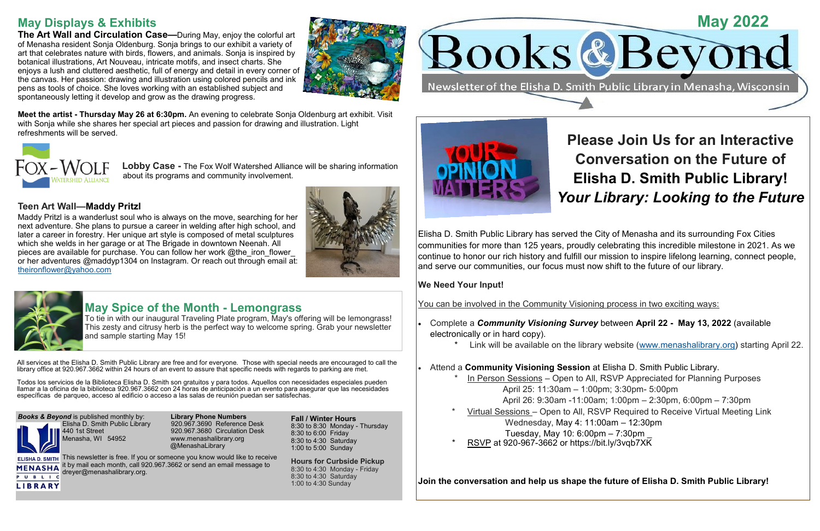All services at the Elisha D. Smith Public Library are free and for everyone. Those with special needs are encouraged to call the library office at 920.967.3662 within 24 hours of an event to assure that specific needs with regards to parking are met.

> 920. 967.3690 Reference Desk 440 1st Street 920.967.3680 Circulation Desk www.menashalibrary.org @MenashaLibrary

Todos los servicios de la Biblioteca Elisha D. Smith son gratuitos y para todos. Aquellos con necesidades especiales pueden llamar a la oficina de la biblioteca 920.967.3662 con 24 horas de anticipación a un evento para asegurar que las necesidades específicas de parqueo, acceso al edificio o acceso a las salas de reunión puedan ser satisfechas.

**Books & Beyond** is published monthly by: **Library Phone Numbers**<br>**Lisha D. Smith Public Library** 920.967.3690 Reference

ELISHA D. SMITH This newsletter is free. If you or someone you know would like to receive **MENASHA** it by mail each month, call 920.967.3662 or send an email message to dreyer@menashalibrary.org.





**Fall / Winter Hours** 8:30 to 8:30 Monday - Thursday 8:30 to 6:00 Friday 8:30 to 4:30 Saturday 1:00 to 5:00 Sunday

**Hours for Curbside Pickup** 8:30 to 4:30 Monday - Friday 8:30 to 4:30 Saturday 1:00 to 4:30 Sunday

# **May Displays & Exhibits**

**The Art Wall and Circulation Case—**During May, enjoy the colorful art of Menasha resident Sonja Oldenburg. Sonja brings to our exhibit a variety of art that celebrates nature with birds, flowers, and animals. Sonja is inspired by botanical illustrations, Art Nouveau, intricate motifs, and insect charts. She enjoys a lush and cluttered aesthetic, full of energy and detail in every corner of the canvas. Her passion: drawing and illustration using colored pencils and ink pens as tools of choice. She loves working with an established subject and spontaneously letting it develop and grow as the drawing progress.



- Complete a *Community Visioning Survey* between **April 22 - May 13, 2022** (available electronically or in hard copy).
	-
- Attend a **Community Visioning Session** at Elisha D. Smith Public Library.
	- - April 25: 11:30am 1:00pm; 3:30pm- 5:00pm
			-
	- - Wednesday, May 4: 11:00am 12:30pm
		- Tuesday, May 10: 6:00pm 7:30pm \_
	- RSVP at 920-967-3662 or <https://bit.ly/3vqb7XK>

**Meet the artist - Thursday May 26 at 6:30pm.** An evening to celebrate Sonja Oldenburg art exhibit. Visit with Sonja while she shares her special art pieces and passion for drawing and illustration. Light refreshments will be served.



 **Lobby Case -** The Fox Wolf Watershed Alliance will be sharing information about its programs and community involvement.

### **Teen Art Wall—Maddy Pritzl**

Maddy Pritzl is a wanderlust soul who is always on the move, searching for her next adventure. She plans to pursue a career in welding after high school, and later a career in forestry. Her unique art style is composed of metal sculptures which she welds in her garage or at The Brigade in downtown Neenah. All pieces are available for purchase. You can follow her work @the\_iron\_flower or her adventures @maddyp1304 on Instagram. Or reach out through email at: [theironflower@yahoo.com](mailto:theironflower@yahoo.com)





# **May Spice of the Month - Lemongrass**

To tie in with our inaugural Traveling Plate program, May's offering will be lemongrass! This zesty and citrusy herb is the perfect way to welcome spring. Grab your newsletter and sample starting May 15!

# **Please Join Us for an Interactive Conversation on the Future of Elisha D. Smith Public Library!** *Your Library: Looking to the Future*

Link will be available on the library website [\(www.menashalibrary.org\)](http://www.menashalibrary.org) starting April 22.

In Person Sessions – Open to All, RSVP Appreciated for Planning Purposes April 26: 9:30am -11:00am; 1:00pm – 2:30pm, 6:00pm – 7:30pm Virtual Sessions – Open to All, RSVP Required to Receive Virtual Meeting Link

Elisha D. Smith Public Library has served the City of Menasha and its surrounding Fox Cities communities for more than 125 years, proudly celebrating this incredible milestone in 2021. As we continue to honor our rich history and fulfill our mission to inspire lifelong learning, connect people, and serve our communities, our focus must now shift to the future of our library.

### **We Need Your Input!**

You can be involved in the Community Visioning process in two exciting ways:

**Join the conversation and help us shape the future of Elisha D. Smith Public Library!**